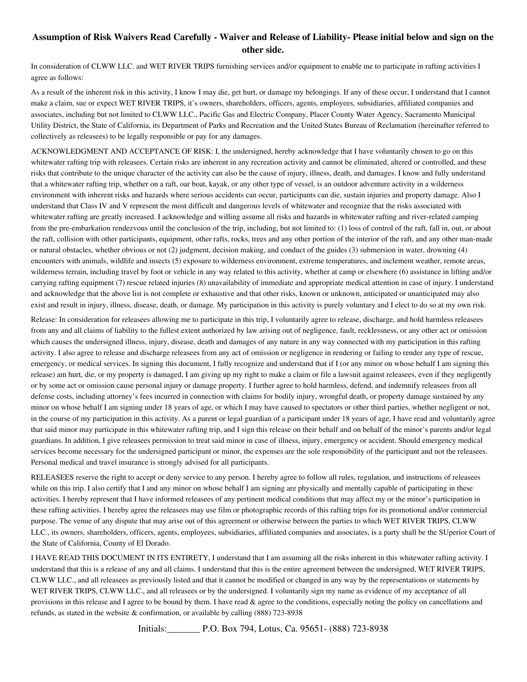## Assumption of Risk Waivers Read Carefully - Waiver and Release of Liability- Please initial below and sign on the **other side.**

In consideration of CLWW LLC. and WET RIVER TRIPS furnishing services and/or equipment to enable me to participate in rafting activities I agree as follows:

As a result of the inherent risk in this activity, I know I may die, get hurt, or damage my belongings. If any of these occur, I understand that I cannot make a claim, sue or expect WET RIVER TRIPS, it's owners, shareholders, officers, agents, employees, subsidiaries, affiliated companies and associates, including but not limited to CLWW LLC., Pacific Gas and Electric Company, Placer County Water Agency, Sacramento Municipal Utility District, the State of California, its Department of Parks and Recreation and the United States Bureau of Reclamation (hereinafter referred to collectively as releasees) to be legally responsible or pay for any damages.

ACKNOWLEDGMENT AND ACCEPTANCE OF RISK: I, the undersigned, hereby acknowledge that I have voluntarily chosen to go on this whitewater rafting trip with releasees. Certain risks are inherent in any recreation activity and cannot be eliminated, altered or controlled, and these risks that contribute to the unique character of the activity can also be the cause of injury, illness, death, and damages. I know and fully understand that a whitewater rafting trip, whether on a raft, oar boat, kayak, or any other type of vessel, is an outdoor adventure activity in a wilderness environment with inherent risks and hazards where serious accidents can occur, participants can die, sustain injuries and property damage. Also I understand that Class IV and V represent the most difficult and dangerous levels of whitewater and recognize that the risks associated with whitewater rafting are greatly increased. I acknowledge and willing assume all risks and hazards in whitewater rafting and river-related camping from the pre-embarkation rendezvous until the conclusion of the trip, including, but not limited to: (1) loss of control of the raft, fall in, out, or about the raft, collision with other participants, equipment, other rafts, rocks, trees and any other portion of the interior of the raft, and any other man-made or natural obstacles, whether obvious or not (2) judgment, decision making, and conduct of the guides (3) submersion in water, drowning (4) encounters with animals, wildlife and insects (5) exposure to wilderness environment, extreme temperatures, and inclement weather, remote areas, wilderness terrain, including travel by foot or vehicle in any way related to this activity, whether at camp or elsewhere (6) assistance in lifting and/or carrying rafting equipment (7) rescue related injuries (8) unavailability of immediate and appropriate medical attention in case of injury. I understand and acknowledge that the above list is not complete or exhaustive and that other risks, known or unknown, anticipated or unanticipated may also exist and result in injury, illness, disease, death, or damage. My participation in this activity is purely voluntary and I elect to do so at my own risk.

Release: In consideration for releasees allowing me to participate in this trip, I voluntarily agree to release, discharge, and hold harmless releasees from any and all claims of liability to the fullest extent authorized by law arising out of negligence, fault, recklessness, or any other act or omission which causes the undersigned illness, injury, disease, death and damages of any nature in any way connected with my participation in this rafting activity. I also agree to release and discharge releasees from any act of omission or negligence in rendering or failing to render any type of rescue, emergency, or medical services. In signing this document, I fully recognize and understand that if I (or any minor on whose behalf I am signing this release) am hurt, die, or my property is damaged, I am giving up my right to make a claim or file a lawsuit against releasees, even if they negligently or by some act or omission cause personal injury or damage property. I further agree to hold harmless, defend, and indemnify releasees from all defense costs, including attorney's fees incurred in connection with claims for bodily injury, wrongful death, or property damage sustained by any minor on whose behalf I am signing under 18 years of age, or which I may have caused to spectators or other third parties, whether negligent or not, in the course of my participation in this activity. As a parent or legal guardian of a participant under 18 years of age, I have read and voluntarily agree that said minor may participate in this whitewater rafting trip, and I sign this release on their behalf and on behalf of the minor's parents and/or legal guardians. In addition, I give releasees permission to treat said minor in case of illness, injury, emergency or accident. Should emergency medical services become necessary for the undersigned participant or minor, the expenses are the sole responsibility of the participant and not the releasees. Personal medical and travel insurance is strongly advised for all participants.

RELEASEES reserve the right to accept or deny service to any person. I hereby agree to follow all rules, regulation, and instructions of releasees while on this trip. I also certify that I and any minor on whose behalf I am signing are physically and mentally capable of participating in these activities. I hereby represent that I have informed releasees of any pertinent medical conditions that may affect my or the minor's participation in these rafting activities. I hereby agree the releasees may use film or photographic records of this rafting trips for its promotional and/or commercial purpose. The venue of any dispute that may arise out of this agreement or otherwise between the parties to which WET RIVER TRIPS, CLWW LLC., its owners, shareholders, officers, agents, employees, subsidiaries, affiliated companies and associates, is a party shall be the SUperior Court of the State of California, County of El Dorado.

I HAVE READ THIS DOCUMENT IN ITS ENTIRETY, I understand that I am assuming all the risks inherent in this whitewater rafting activity. I understand that this is a release of any and all claims. I understand that this is the entire agreement between the undersigned, WET RIVER TRIPS, CLWW LLC., and all releasees as previously listed and that it cannot be modified or changed in any way by the representations or statements by WET RIVER TRIPS, CLWW LLC., and all releasees or by the undersigned. I voluntarily sign my name as evidence of my acceptance of all provisions in this release and I agree to be bound by them. I have read & agree to the conditions, especially noting the policy on cancellations and refunds, as stated in the website & confirmation, or available by calling (888) 723-8938

Initials:\_\_\_\_\_\_\_ P.O. Box 794, Lotus, Ca. 95651- (888) 723-8938